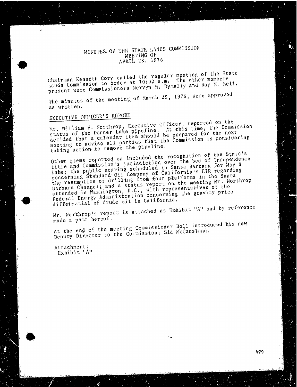### MINUTES OF THE STATE LANDS COMMISSION MEETING OF APRIL 28, 1976

Chairman Kenneth Cory called the regular meeting of the State<br>Lands Commission to order at 10:02 a.m. The other members Lands Commission to commissioners Mervyn M. Dymally present were Commissioners Mervyn Mervyn Mervyn Mervyn Mervyn Mervyn Mervyn Mervy

The minutes of the meeting of March 25, 1976, were approved as written.

## EXECUTIVE OFFICER'S REPORT

Mr. William F. Norther Lake pipeline. At this trme, decided that a calendar item should be prepared for the next decided that a caritime parties that the Commission meeting to advise  $\sum_{k=1}^{\infty}$  the pipeline.

taking action to remove Other items reported is jurisdiction over the Ded of title and Commission's scheduled in Santa barbar Lake; the public  $m$  of  $\alpha$  company of  $\alpha$  for  $\alpha$  in  $\alpha$ concerning Standard drilling from four platforms in the the resumption of  $\frac{1}{2}$  status report on the  $Bap<sub>0</sub>$ arbara Channel; and  $a$ ,  $b$ .C., with representatives  $Q<sub>1</sub>$ attended in Washington, concerning the gra  $Federa1$  Energy Administration concerning contration contration contration contration contration concerning the gravitation of  $\dot{c}$  ratio concerning contration of  $\dot{c}$  ratio contration contration contration contration differential of crude only in

 $Mr.$  Northrop's report  $\frac{1}{\sqrt{2}}$  and  $\frac{1}{\sqrt{2}}$  and  $\frac{1}{\sqrt{2}}$  and  $\frac{1}{\sqrt{2}}$  and  $\frac{1}{\sqrt{2}}$  and  $\frac{1}{\sqrt{2}}$  and  $\frac{1}{\sqrt{2}}$  and  $\frac{1}{\sqrt{2}}$  and  $\frac{1}{\sqrt{2}}$  and  $\frac{1}{\sqrt{2}}$  and  $\frac{1}{\sqrt{2}}$  and  $\frac{1}{\sqrt{2}}$ 

made a part her At the end of the meeting Lission, Sid McCausland. Deputy Director to the Commission, Sid McCausland.

Attachment ; Exhibit "At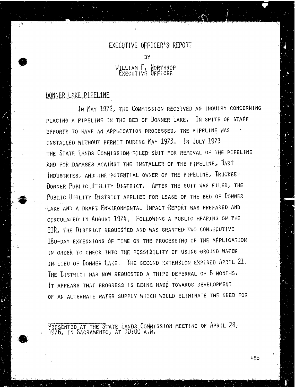### EXECUTIVE OFFICER'S REPORT

**BY** 

### WILLIAM F, NORTHROP EXECUTIVE OFFICER

## DONNER LAKE PIPELINE

IN MAY 1972, THE COMMISSION RECEIVED AN INQUIRY CONCERNING PLACING A PIPELINE IN THE BED OF DONNER LAKE. IN SPITE OF STAFF EFFORTS TO HAVE AN APPLICATION PROCESSED, THE PIPELINE WAS INSTALLED WITHOUT PERMIT DURING MAY 1973. IN JULY 1973 THE STATE LANDS COMMISSION FILED SUIT FOR REMOVAL OF THE PIPELINE AND FOR DAMAGES AGAINST THE INSTALLER OF THE PIPELINE, DART INDUSTRIES, AND THE POTENTIAL OWNER OF THE PIPELINE, TRUCKEE-DONNER PUBLIC UTILITY DISTRICT. AFTER THE SUIT WAS FILED, THE PUBLIC UTILITY DISTRICT APPLIED FOR LEASE OF THE BED OF DONNER LAKE AND A DRAFT ENVIRONMENTAL IMPACT REPORT WAS PREPARED AND CIRCULATED IN AUGUST 1974. FOLLOWING A PUBLIC HEARING ON THE EIR, THE DISTRICT REQUESTED AND WAS GRANTED TWO CONSECUTIVE 180-DAY EXTENSIONS OF TIME ON THE PROCESSING OF THE APPLICATION IN ORDER TO CHECK INTO THE POSSIBILITY OF USING GROUND WATER IN LIEU OF DONNER LAKE, THE SECOND EXTENSION EXPIRED APRIL 21. THE DISTRICT HAS NOW REQUESTED A THIPD DEFERRAL OF 6 MONTHS. IT APPEARS THAT PROGRESS IS BEING MADE TOWARDS DEVELOPMENT OF AN ALTERNATE WATER SUPPLY WHICH WOULD ELIMINATE THE NEED FOR

PRESENTED AT THE STATE LANDS COMMISSION MEETING OF APRIL 28 1976, IN SACRAMENTO, AT 10:00 A. M.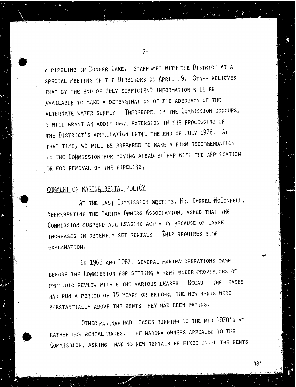A PIPELINE IN DONNER LAKE, STAFF MET WITH THE DISTRICT AT A SPECIAL MEETING OF THE DIRECTORS ON APRIL 19. STAFF BELIEVES THAT BY THE END OF JULY SUFFICIENT INFORMATION WILL BE AVAILABLE TO MAKE A DETERMINATION OF THE ADEQUACY OF THE ALTERNATE WATER SUPPLY. THEREFORE, IF THE COMMISSION CONCURS, I WILL GRANT AN ADDITIONAL EXTENSION IN THE PROCESSING OF THE DISTRICT'S APPLICATION UNTIL THE END OF JULY 1976. AT THAT TIME, WE WILL BE PREPARED TO MAKE A FIRM RECOMMENDATION TO THE COMMISSION FOR MOVING AHEAD EITHER WITH THE APPLICATION. OR FOR REMOVAL OF THE PIPELINE,

-2-

# COMMENT ON MARINA RENTAL POLICY

AT THE LAST COMMISSION MEETING, MR. DARREL MCCONNELL, REPRESENTING THE MARINA OWNERS ASSOCIATION, ASKED THAT THE COMMISSION SUSPEND ALL LEASING ACTIVITY BECAUSE OF LARGE INCREASES IN RECENTLY SET RENTALS. THIS REQUIRES SOME EXPLANATION .

in 1966 AND 1967, SEVERAL MARINA OPERATIONS CAME BEFORE THE COMMISSION FOR SETTING A RENT UNDER PROVISIONS OF PERIODIC REVIEW WITHIN THE VARIOUS LEASES. BECAUST THE LEASES HAD RUN A PERIOD OF 15 YEARS OR BETTER, THE NEW RENTS WERE SUBSTANTIALLY ABOVE THE RENTS THEY HAD BEEN PAYING.

OTHER MARINAS HAD LEASES RUNNING TO THE MID 1970'S AT RATHER LOW RENTAL RATES. THE MARINA OWNERS APPEALED TO THE COMMISSION, ASKING THAT NO NEW RENTALS BE FIXED UNTIL THE RENTS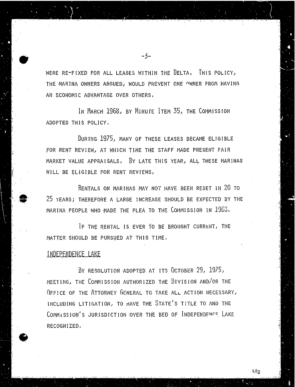WERE RE-FIXED FOR ALL LEASES WITHIN THE DELTA. THIS POLICY, THE MARINA OWNERS ARGUED, WOULD PREVENT ONE OWNER FROM HAVING AN ECONOMIC ADVANTAGE OVER OTHERS.

-3-

IN MARCH 1968, BY MINUTE ITEM 35, THE COMMISSION ADOPTED THIS POLICY.

DURING 1975, MANY OF THESE LEASES BECAME ELIGIBLE FOR RENT REVIEW, AT WHICH TIME THE STAFF MADE PRESENT FAIR MARKET VALUE APPRAISALS, BY LATE THIS YEAR, ALL THESE MARINAS WILL BE ELIGIBLE FOR RENT REVIEWS,

RENTALS ON MARINAS MAY NOT HAVE BEEN RESET IN 20 TO 25 YEARS; THEREFORE A LARGE INCREASE SHOULD BE EXPECTED BY THE MARINA PEOPLE WHO MADE THE PLEA TO THE COMMISSION IN 1968.

IF THE RENTAL IS EVER TO BE BROUGHT CURRENT, THE MATTER SHOULD BE PURSUED AT THIS TIME.

### INDEPENDENCE LAKE

BY RESOLUTION ADOPTED AT ITS OCTOBER 29, 1975, MEETING, THE COMMISSION AUTHORIZED THE DIVISION AND/OR THE OFFICE OF THE ATTORNEY GENERAL TO TAKE ALL ACTION NECESSARY, INCLUDING LITIGATION, TO HAVE THE STATE'S TITLE TO AND THE COMMISSION'S JURISDICTION OVER THE BED OF INDEPENDENCE LAKE RECOGNIZED.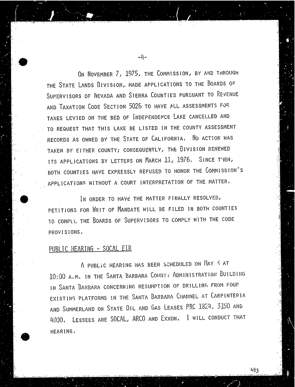ON NOVEMBER 7, 1975, THE COMMISSION, BY AND THROUGH THE STATE LANDS DIVISION,, MADE APPLICATIONS TO THE BOARDS OF SUPERVISORS OF NEVADA AND STERRA COUNTIES PURSUANT TO REVENUE AND TAXATION CODE SECTION 5026 TO HAVE ALL ASSESSMENTS FOR TAXES LEVIED ON THE BED OF INDEPENDENCE LAKE CANCELLED AND TO REQUEST THAT THIS LAKE BE LISTED IN THE COUNTY ASSESSMENT RECORDS AS OWNED BY THE STATE OF CALIFORNIA. NO ACTION WAS TAKEN BY EITHER COUNTY; CONSEQUENTLY, THE DIVISION RENEWED ITS APPLICATIONS BY LETTERS ON MARCH 11, 1976. SINCE THEN, BOTH. COUNTIES HAVE EXPRESSLY REFUSED TO HONOR THE COMMISSION'S APPLICATIONS WITHOUT A COURT INTERPRETATION OF THE MATTER.

IN ORDER TO HAVE THE MATTER FINALLY RESOLVED, PETITIONS FOR WRIT OF MANDATE WILL BE FILED IN BOTH COUNTIES TO COMPLI. THE BOARDS OF SUPERVISORS TO COMPLY WITH THE CODE PROVISIONS ,

## PUBLIC HEARING - SOCAL ELR

A PUBLIC HEARING HAS BEEN SCHEDULED ON HAY < AT 10:00 A. M. IN THE SANTA BARBARA COUNTY ADMINISTRATION BUILDING IN SANTA BARBARA CONCERNING RESUMPTION OF DRILLING FROM FOUP. EXISTING PLATFORMS IN THE SANTA BARBARA CHANNEL AT CARPINTERIA AND SUMMERLAND ON STATE OIL AND GAS LEASES PRC 1824, 3150 AND 4030. LESSEES ARE SOCAL, ARCO AND EXXON. I WILL CONDUCT THAT HEARING.

483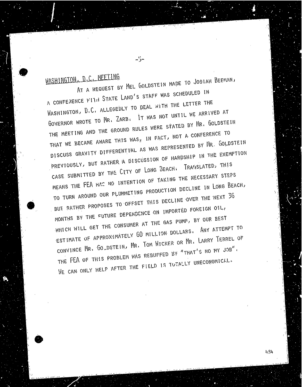WASHINGTON. D.C. MEETING

 $-5-$ 

A CONFERENCE WITH STATE LAND'S STAFF WAS SCHEDULED IN WASHINGTON, D.C. ALLEGEILY TO DEAL WITH THE LETTER THE GOVERNOR WROTE TO MR. ZARB. IT WAS NOT UNTIL WE ARRIVED AT THE MEETING AND THE GROUND RULES WERE STATED BY MR. GOLDSTEIN THAT WE BECAME AWARE THES WAS, IN FACT, NOT A CONFERENCE TO DISCUSS GRAVITY DIFFERENTIAL AS WAS REPRESENTED BY MR. GOLDSTEIN PREVIOUSLY, BUT RATHER A DISCUSSION OF HARDSHIP IN THE EXEMPTION CASE SUBMITTED BY THE CITY OF LONG BEACH, TRANSLATED, THIS MEANS THE FEA HAS NO INTENTION OF TAKING THE NECESSARY STEPS MEANS THE FEAR HAS NO INTENTION DECLINE IN LURA DE TO TURN ARE PLUMMENT OUR PLUMMETING PRODUCTION DECLINE IN DECISION DECLINE IN LONG BEACH, THE ALLOWED BUT RATHER PROPOSES TO OFFSET THIS DECLINE OVER THE NEXT 36 MONTHS BY THE FUTURE DEPENDENCE ON IMPORTED FOREIGN OIL. WHICH WILL GET THE CONSUMER AT THE GAS PUMP, BY OUR BEST ESTIMATE OF APPROXIMATELY 60 MILLION DOLLARS. ANY ATTEMPT TO CONVINCE MR. GO DSTEIN, MR. TOM WICKER OR MR. LARRY TERREL OF THE FEA OF THIS PROBLEM WAS REBUFFED BY "THAT'S NO MY JOB". THE FEAR OF THE THIS PROPERTY WAS DRECUMBED WAS THE THIS TOTALLY UNECUMBER ON THE THIS NO. WE CAN ONLY HELP AFTER THE FIELD IS TO THE FIELD IS TO THE FIELD IS TO THE FIELD IS TO THE FIELD IS TO THE THE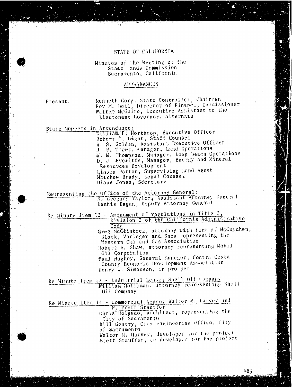### STATE OF CALIFORNIA

### Minutes of the Meeting of the State ands Commission Sacramento, California

### APPEARANCES

Present: Kenneth Cory, State Controller, Chair Roy M. Bell, Director of Cinare., Commissioner Walter McGuire, Executive Assistant to the Lieutenant Governor, alternate

Staff Members in Attendance:<br>William F. Northrop, Executive Officer<br>Robert C. Hight, Staff Counsel Robert C. hight, Staff Co R. S. Golden, Assistant Executive Of J. F. Trout, Manager, Land. Operations W. M. Thompson, Manager, Long Beach Operations<br>D. J. Everitts, Manager, Energy and Mineral<br>Resources Development Resources Development Linson Patton, Supervising Land Agent Matthew Brady, Legal Counsel Diane Jones, Secretary

Representing the Office of the Attorney General:<br>N. Gregory Taylor, Assistant Attorney General<br>Dennis Eagan, Deputy Attorney General

Re Minute Item 12 . Amendment of regulations in Title ?,<br>Division 3 of the California Administrative<br>Code

Code Greg McClintock, attorney with firm of med Black, Verleger and Shea representing the Western Oil and Gas Association Robert E, Shaw, attorney representing Mobil<br>Oil Corporation

Oil Corporat Paul Hughey, General Manager, Contra Cos County Economic Development Association Henry W. Simonson, in pro per

Re Minute Item 13 - Inde .trial Lease; Shell Oil company William Holliman, attorney representing Sholl Oil Company

Re Minute Item 14 - Commercial Lease: Walter M. Harvey and F. Brett Stauffer Chris Dolgado, architect, representing the City of Sacramento City of Sacramen Bill Gentry, City Engineering Office, of Sacramento<br>Walter M. Harvey, developer for the project

Walter M. Harvey, developer *for the project* Brett Stauffer, co-developed for the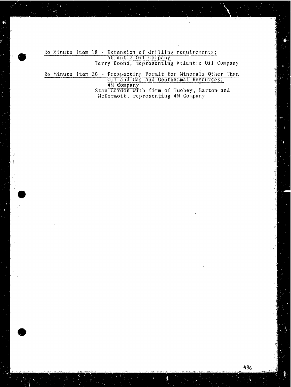Re Minute Item 18 - Extension of drilling requirements;  $\frac{\text{Atlantic Oil}}{\text{Atlantic Oil}}$ Terry Boone, representing Atlantic Oil Compa

Re Minute Item 20 - Prospecting Permit for Minerals Other<br>Oil and Gas and Geothermal Resource IN Company<br>Stan Gordon with firm of Tuohey, Barton McDermott, representing 4M Company